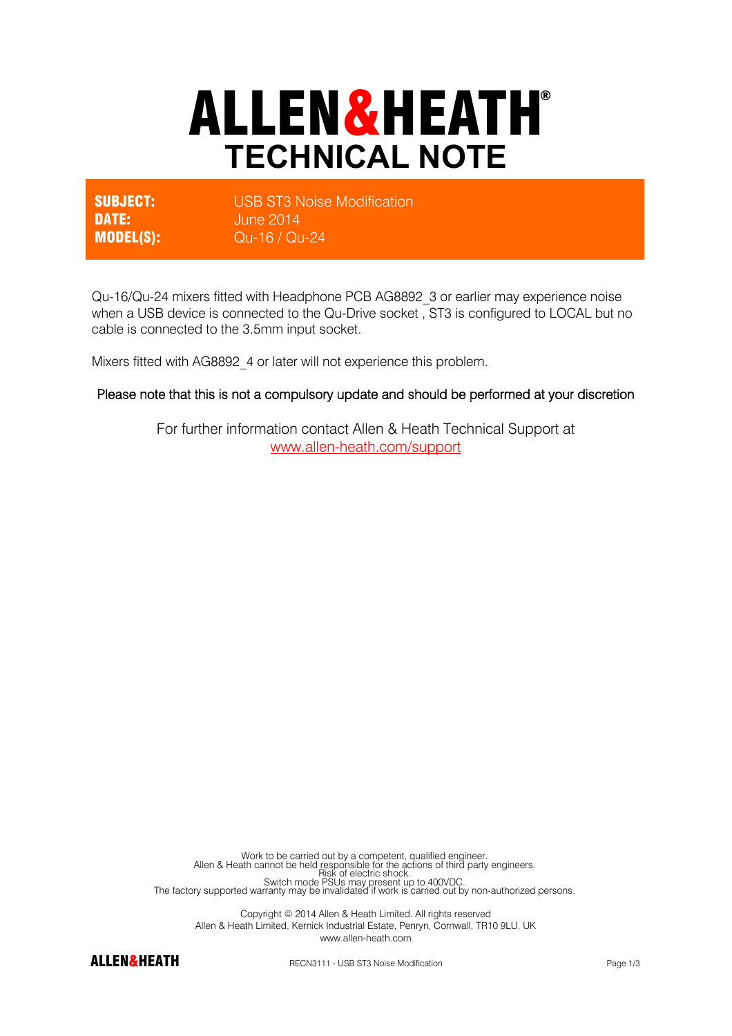# ALLEN&HEATH® **TECHNICAL NOTE**

**SUBJECT:** USB ST3 Noise Modification DATE: June 2014 MODEL(S): Qu-16 / Qu-24

Qu-16/Qu-24 mixers fitted with Headphone PCB AG8892\_3 or earlier may experience noise when a USB device is connected to the Qu-Drive socket , ST3 is configured to LOCAL but no cable is connected to the 3.5mm input socket.

Mixers fitted with AG8892\_4 or later will not experience this problem.

#### Please note that this is not a compulsory update and should be performed at your discretion

For further information contact Allen & Heath Technical Support at www.allen-heath.com/support

Work to be carried out by a competent, qualified engineer.<br>Allen & Heath cannot be held responsible for the actions of third party engineers.<br>Risk of electric shock. Switch mode PSUs may present up to 400VDC.<br>The factory supported warranty may be invalidated if work is carried out by non-authorized persons.

Copyright © 2014 Allen & Heath Limited. All rights reserved Allen & Heath Limited, Kernick Industrial Estate, Penryn, Cornwall, TR10 9LU, UK www.allen-heath.com



ALLEN&HEATH RECN3111 - USB ST3 Noise Modification Page 1/3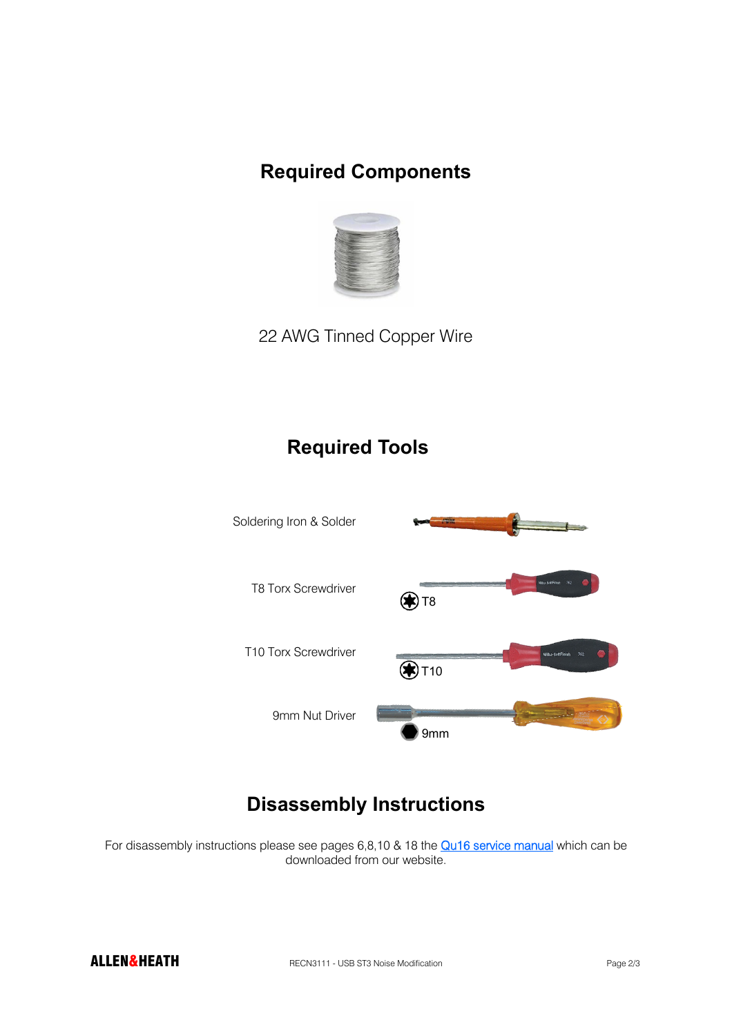#### **Required Components**



22 AWG Tinned Copper Wire

#### **Required Tools**



### **Disassembly Instructions**

For disassembly instructions please see pages 6,8,10 & 18 the **Qu16 service manual** which can be downloaded from our website.